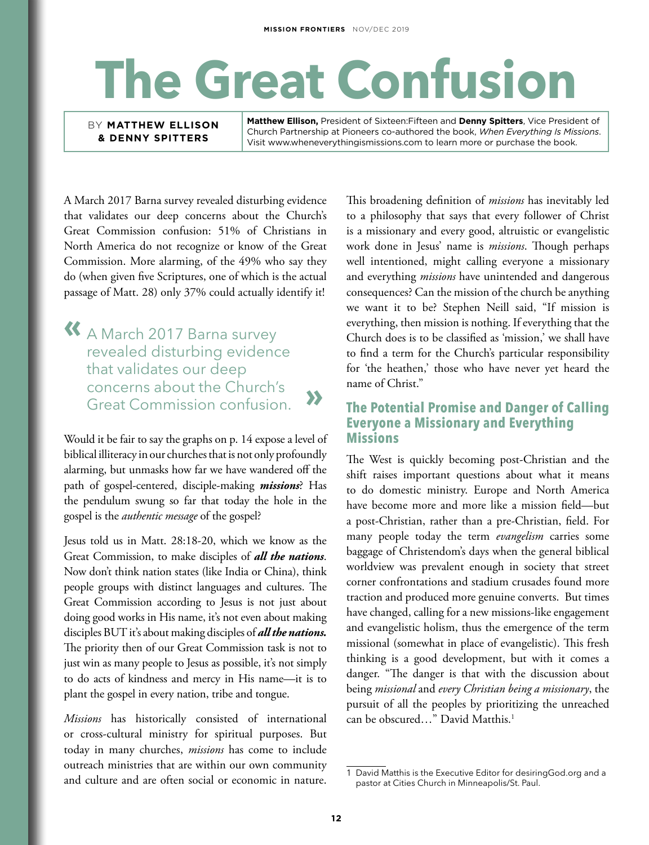## **The Great Confusion**

BY **MATTHEW ELLISON & DENNY SPITTERS**

**Matthew Ellison,** President of Sixteen:Fifteen and **Denny Spitters**, Vice President of Church Partnership at Pioneers co-authored the book, *When Everything Is Missions*. Visit www.wheneverythingismissions.com to learn more or purchase the book.

A March 2017 Barna survey revealed disturbing evidence that validates our deep concerns about the Church's Great Commission confusion: 51% of Christians in North America do not recognize or know of the Great Commission. More alarming, of the 49% who say they do (when given five Scriptures, one of which is the actual passage of Matt. 28) only 37% could actually identify it!

**«** A March 2017 Barna survey revealed disturbing evidence that validates our deep concerns about the Church's Great Commission confusion.

Would it be fair to say the graphs on p. 14 expose a level of biblical illiteracy in our churches that is not only profoundly alarming, but unmasks how far we have wandered off the path of gospel-centered, disciple-making *missions*? Has the pendulum swung so far that today the hole in the gospel is the *authentic message* of the gospel?

Jesus told us in Matt. 28:18-20, which we know as the Great Commission, to make disciples of *all the nations*. Now don't think nation states (like India or China), think people groups with distinct languages and cultures. The Great Commission according to Jesus is not just about doing good works in His name, it's not even about making disciples BUT it's about making disciples of *all the nations.*  The priority then of our Great Commission task is not to just win as many people to Jesus as possible, it's not simply to do acts of kindness and mercy in His name—it is to plant the gospel in every nation, tribe and tongue.

*Missions* has historically consisted of international or cross-cultural ministry for spiritual purposes. But today in many churches, *missions* has come to include outreach ministries that are within our own community and culture and are often social or economic in nature.

This broadening definition of *missions* has inevitably led to a philosophy that says that every follower of Christ is a missionary and every good, altruistic or evangelistic work done in Jesus' name is *missions*. Though perhaps well intentioned, might calling everyone a missionary and everything *missions* have unintended and dangerous consequences? Can the mission of the church be anything we want it to be? Stephen Neill said, "If mission is everything, then mission is nothing. If everything that the Church does is to be classified as 'mission,' we shall have to find a term for the Church's particular responsibility for 'the heathen,' those who have never yet heard the name of Christ."

## **The Potential Promise and Danger of Calling Everyone a Missionary and Everything Missions**

The West is quickly becoming post-Christian and the shift raises important questions about what it means to do domestic ministry. Europe and North America have become more and more like a mission field—but a post-Christian, rather than a pre-Christian, field. For many people today the term *evangelism* carries some baggage of Christendom's days when the general biblical worldview was prevalent enough in society that street corner confrontations and stadium crusades found more traction and produced more genuine converts. But times have changed, calling for a new missions-like engagement and evangelistic holism, thus the emergence of the term missional (somewhat in place of evangelistic). This fresh thinking is a good development, but with it comes a danger. "The danger is that with the discussion about being *missional* and *every Christian being a missionary*, the pursuit of all the peoples by prioritizing the unreached can be obscured..." David Matthis.<sup>1</sup>

<sup>1</sup> David Matthis is the Executive Editor for desiringGod.org and a pastor at Cities Church in Minneapolis/St. Paul.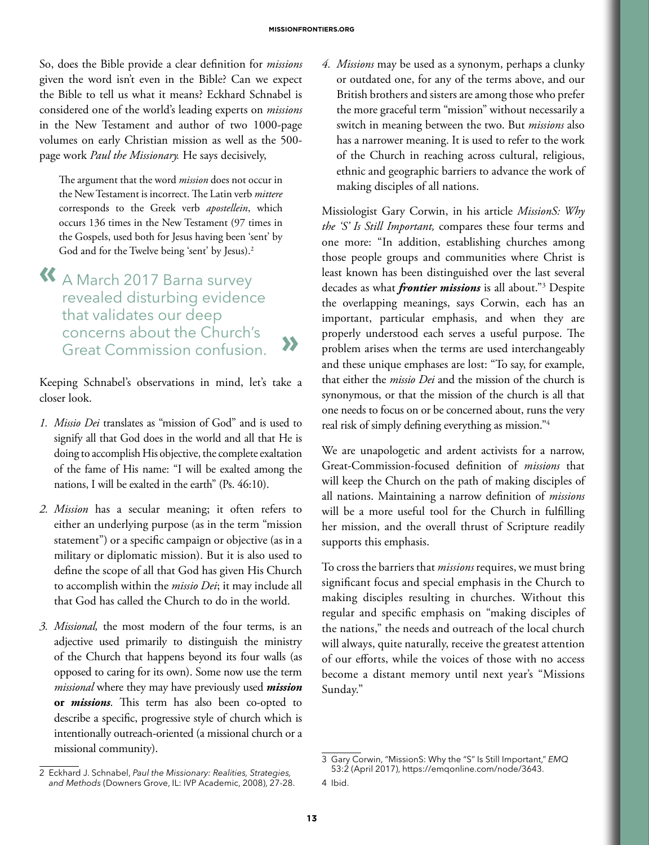So, does the Bible provide a clear definition for *missions*  given the word isn't even in the Bible? Can we expect the Bible to tell us what it means? Eckhard Schnabel is considered one of the world's leading experts on *missions* in the New Testament and author of two 1000-page volumes on early Christian mission as well as the 500 page work *Paul the Missionary.* He says decisively,

The argument that the word *mission* does not occur in the New Testament is incorrect. The Latin verb *mittere* corresponds to the Greek verb *apostellein*, which occurs 136 times in the New Testament (97 times in the Gospels, used both for Jesus having been 'sent' by God and for the Twelve being 'sent' by Jesus).2

**«** A March 2017 Barna survey revealed disturbing evidence that validates our deep concerns about the Church's Great Commission confusion. **»**

Keeping Schnabel's observations in mind, let's take a closer look.

- *1. Missio Dei* translates as "mission of God" and is used to signify all that God does in the world and all that He is doing to accomplish His objective, the complete exaltation of the fame of His name: "I will be exalted among the nations, I will be exalted in the earth" (Ps. 46:10).
- *2. Mission* has a secular meaning; it often refers to either an underlying purpose (as in the term "mission statement") or a specific campaign or objective (as in a military or diplomatic mission). But it is also used to define the scope of all that God has given His Church to accomplish within the *missio Dei*; it may include all that God has called the Church to do in the world.
- *3. Missional,* the most modern of the four terms, is an adjective used primarily to distinguish the ministry of the Church that happens beyond its four walls (as opposed to caring for its own). Some now use the term *missional* where they may have previously used *mission* **or** *missions*. This term has also been co-opted to describe a specific, progressive style of church which is intentionally outreach-oriented (a missional church or a missional community).

*4. Missions* may be used as a synonym, perhaps a clunky or outdated one, for any of the terms above, and our British brothers and sisters are among those who prefer the more graceful term "mission" without necessarily a switch in meaning between the two. But *missions* also has a narrower meaning. It is used to refer to the work of the Church in reaching across cultural, religious, ethnic and geographic barriers to advance the work of making disciples of all nations.

Missiologist Gary Corwin, in his article *MissionS: Why the 'S' Is Still Important,* compares these four terms and one more: "In addition, establishing churches among those people groups and communities where Christ is least known has been distinguished over the last several decades as what *frontier missions* is all about."3 Despite the overlapping meanings, says Corwin, each has an important, particular emphasis, and when they are properly understood each serves a useful purpose. The problem arises when the terms are used interchangeably and these unique emphases are lost: "To say, for example, that either the *missio Dei* and the mission of the church is synonymous, or that the mission of the church is all that one needs to focus on or be concerned about, runs the very real risk of simply defining everything as mission."4

We are unapologetic and ardent activists for a narrow, Great-Commission-focused definition of *missions* that will keep the Church on the path of making disciples of all nations. Maintaining a narrow definition of *missions*  will be a more useful tool for the Church in fulfilling her mission, and the overall thrust of Scripture readily supports this emphasis.

To cross the barriers that *missions* requires, we must bring significant focus and special emphasis in the Church to making disciples resulting in churches. Without this regular and specific emphasis on "making disciples of the nations," the needs and outreach of the local church will always, quite naturally, receive the greatest attention of our efforts, while the voices of those with no access become a distant memory until next year's "Missions Sunday."

<sup>2</sup> Eckhard J. Schnabel, *Paul the Missionary: Realities, Strategies, and Methods* (Downers Grove, IL: IVP Academic, 2008), 27-28.

<sup>3</sup> Gary Corwin, "MissionS: Why the "S" Is Still Important," *EMQ* 53:2 (April 2017), https://emqonline.com/node/3643.

<sup>4</sup> Ibid.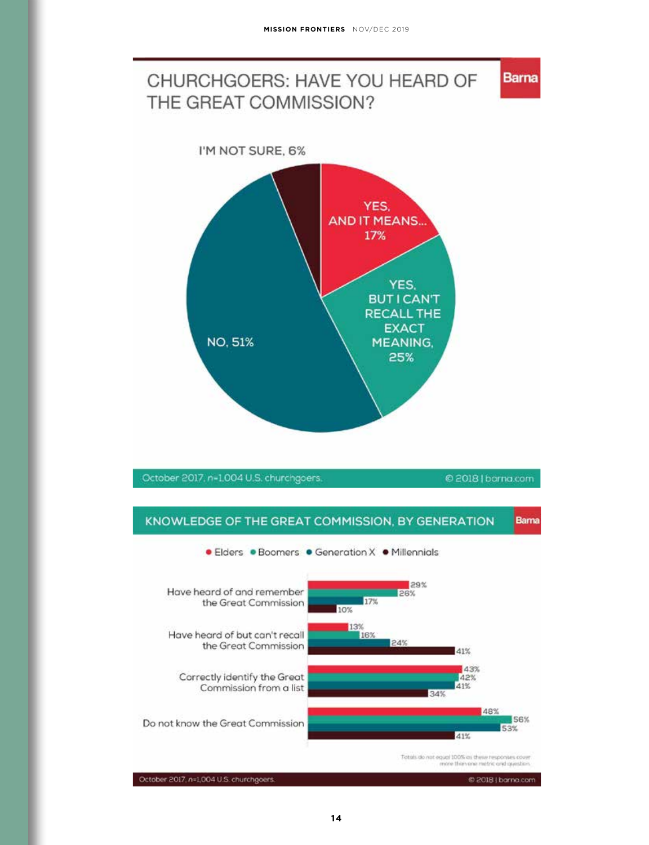